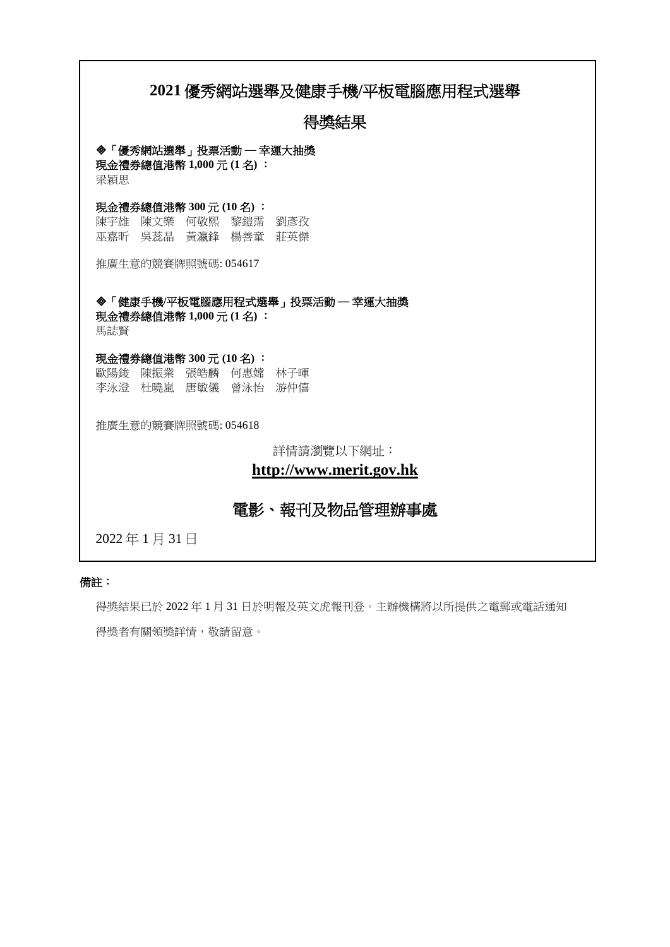# **2021** 優秀網站選舉及健康手機**/**平板電腦應用程式選舉

# 得獎結果

### 「優秀網站選舉」投票活動 ─ 幸運大抽獎

現金禮券總值港幣 **1,000** 元 **(1** 名**)** : 梁穎思

## 現金禮券總值港幣 **300** 元 **(10** 名**)** :

陳宇雄 陳文樂 何敬熙 黎鎧霈 劉彥孜 巫嘉昕 吳蕊晶 黃瀛鋒 楊善童 莊英傑

推廣生意的競賽牌照號碼: 054617

## 「健康手機**/**平板電腦應用程式選舉」投票活動 ─ 幸運大抽獎 現金禮券總值港幣 **1,000** 元 **(1** 名**)** :

馬誌賢

#### 現金禮券總值港幣 **300** 元 **(10** 名**)** :

歐陽鋑 陳振業 張皓麟 何惠嫦 林子暉 李泳澄 杜曉嵐 唐敏儀 曾泳怡 游仲僖

推廣生意的競賽牌照號碼: 054618

詳情請瀏覽以下網址:

# **[http://www.merit.gov.hk](http://www.merit.gov.hk/)**

# 電影、報刊及物品管理辦事處

2022 年 1 月 31 日

## 備註:

得獎結果已於 2022 年 1 月 31 日於明報及英文虎報刊登。主辦機構將以所提供之電郵或電話通知 得獎者有關領獎詳情,敬請留意。